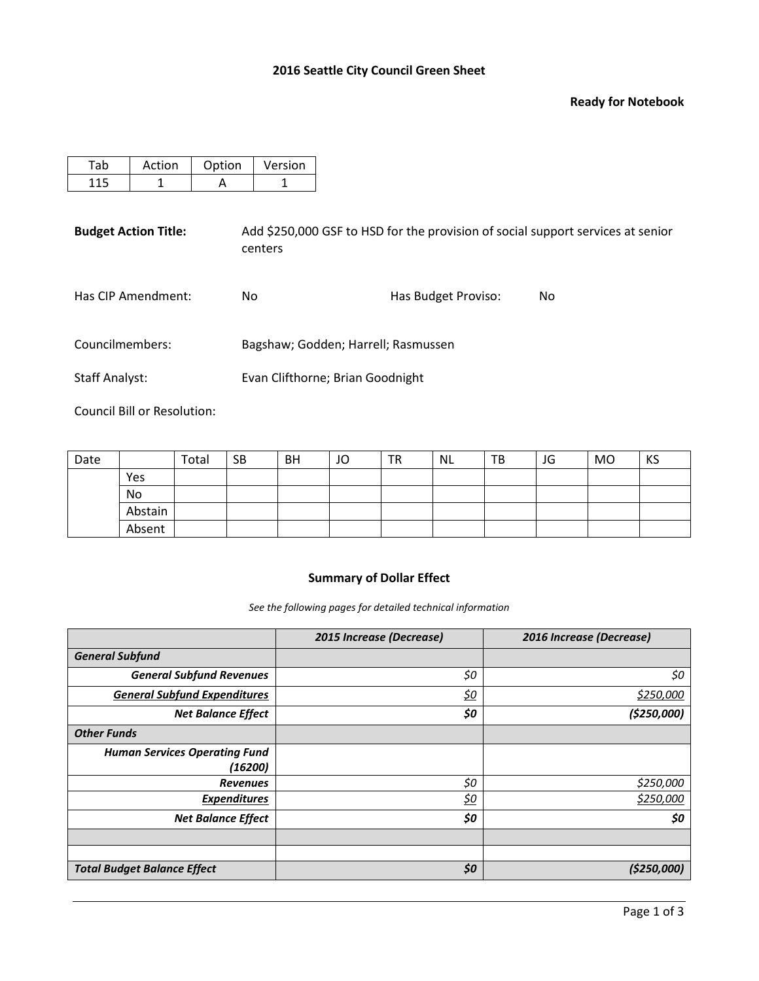# **2016 Seattle City Council Green Sheet**

### **Ready for Notebook**

| Tab                   | Action                      | Option | Version |                                     |                     |                                                                                 |
|-----------------------|-----------------------------|--------|---------|-------------------------------------|---------------------|---------------------------------------------------------------------------------|
| 115                   | 1                           | A      |         |                                     |                     |                                                                                 |
|                       | <b>Budget Action Title:</b> |        | centers |                                     |                     | Add \$250,000 GSF to HSD for the provision of social support services at senior |
|                       | Has CIP Amendment:          | No.    |         |                                     | Has Budget Proviso: | No.                                                                             |
| Councilmembers:       |                             |        |         | Bagshaw; Godden; Harrell; Rasmussen |                     |                                                                                 |
| <b>Staff Analyst:</b> |                             |        |         | Evan Clifthorne; Brian Goodnight    |                     |                                                                                 |
|                       |                             |        |         |                                     |                     |                                                                                 |

Council Bill or Resolution:

| Date |         | Total | <b>SB</b> | <b>BH</b> | JO | <b>TR</b> | <b>NL</b> | TB | JG | MO | KS |
|------|---------|-------|-----------|-----------|----|-----------|-----------|----|----|----|----|
|      | Yes     |       |           |           |    |           |           |    |    |    |    |
|      | No      |       |           |           |    |           |           |    |    |    |    |
|      | Abstain |       |           |           |    |           |           |    |    |    |    |
|      | Absent  |       |           |           |    |           |           |    |    |    |    |

# **Summary of Dollar Effect**

*See the following pages for detailed technical information*

|                                      | 2015 Increase (Decrease) | 2016 Increase (Decrease) |
|--------------------------------------|--------------------------|--------------------------|
| <b>General Subfund</b>               |                          |                          |
| <b>General Subfund Revenues</b>      | \$0                      | \$0                      |
| <b>General Subfund Expenditures</b>  | <u>\$0</u>               | \$250,000                |
| <b>Net Balance Effect</b>            | \$0                      | (\$250,000]              |
| <b>Other Funds</b>                   |                          |                          |
| <b>Human Services Operating Fund</b> |                          |                          |
| (16200)                              |                          |                          |
| <b>Revenues</b>                      | \$0                      | \$250,000                |
| <b>Expenditures</b>                  | <u>\$0</u>               | \$250,000                |
| <b>Net Balance Effect</b>            | \$0                      | \$0                      |
|                                      |                          |                          |
|                                      |                          |                          |
| <b>Total Budget Balance Effect</b>   | \$0                      | (\$250,000)              |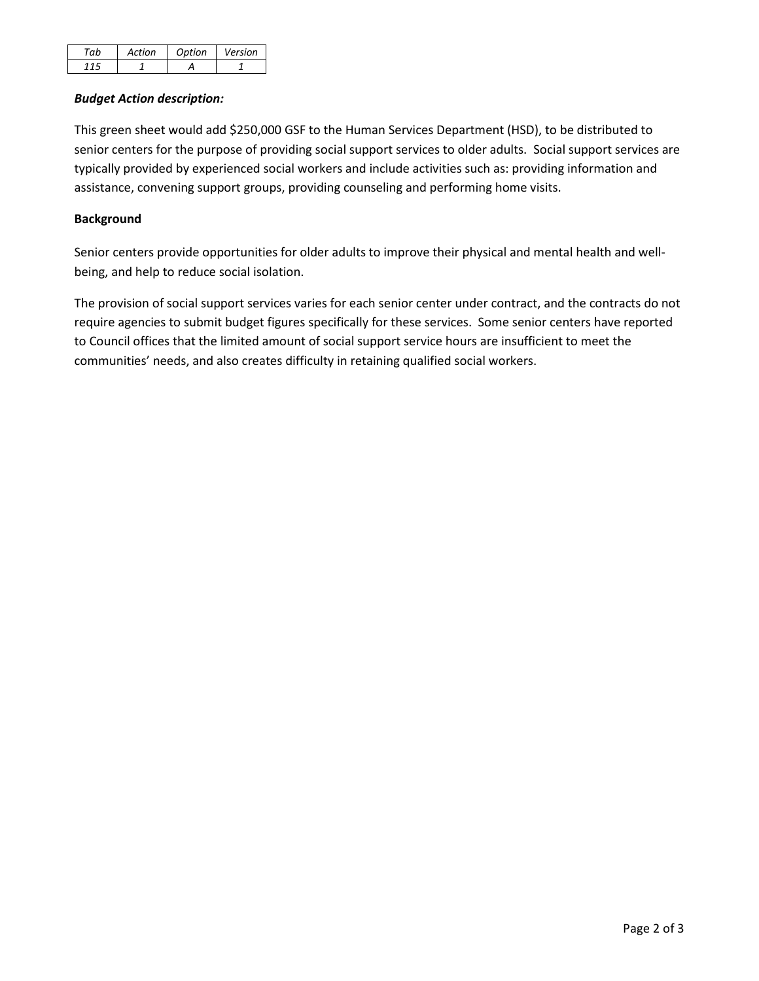| ction | Ontion | Version |
|-------|--------|---------|
|       |        |         |

## *Budget Action description:*

This green sheet would add \$250,000 GSF to the Human Services Department (HSD), to be distributed to senior centers for the purpose of providing social support services to older adults. Social support services are typically provided by experienced social workers and include activities such as: providing information and assistance, convening support groups, providing counseling and performing home visits.

# **Background**

Senior centers provide opportunities for older adults to improve their physical and mental health and wellbeing, and help to reduce social isolation.

The provision of social support services varies for each senior center under contract, and the contracts do not require agencies to submit budget figures specifically for these services. Some senior centers have reported to Council offices that the limited amount of social support service hours are insufficient to meet the communities' needs, and also creates difficulty in retaining qualified social workers.